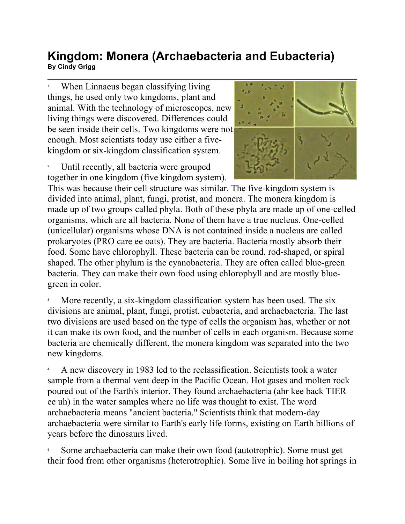## **Kingdom: Monera (Archaebacteria and Eubacteria)**  KIH**YUUHI. MUHELA (ALCHAEDACtELIA AHU EUDACtELIA)**<br>By Cindy Grigg

1 When Linnaeus began classifying living things, he used only two kingdoms, plant and animal. With the technology of microscopes, new living things were discovered. Differences could be seen inside their cells. Two kingdoms were not enough. Most scientists today use either a fivekingdom or six-kingdom classification system.

2 Until recently, all bacteria were grouped together in one kingdom (five kingdom system).



This was because their cell structure was similar. The five-kingdom system is divided into animal, plant, fungi, protist, and monera. The monera kingdom is made up of two groups called phyla. Both of these phyla are made up of one-celled organisms, which are all bacteria. None of them have a true nucleus. One-celled (unicellular) organisms whose DNA is not contained inside a nucleus are called prokaryotes (PRO care ee oats). They are bacteria. Bacteria mostly absorb their food. Some have chlorophyll. These bacteria can be round, rod-shaped, or spiral shaped. The other phylum is the cyanobacteria. They are often called blue-green bacteria. They can make their own food using chlorophyll and are mostly bluegreen in color.

3 More recently, a six-kingdom classification system has been used. The six divisions are animal, plant, fungi, protist, eubacteria, and archaebacteria. The last two divisions are used based on the type of cells the organism has, whether or not it can make its own food, and the number of cells in each organism. Because some bacteria are chemically different, the monera kingdom was separated into the two new kingdoms.

4 A new discovery in 1983 led to the reclassification. Scientists took a water sample from a thermal vent deep in the Pacific Ocean. Hot gases and molten rock poured out of the Earth's interior. They found archaebacteria (ahr kee back TIER ee uh) in the water samples where no life was thought to exist. The word archaebacteria means "ancient bacteria." Scientists think that modern-day archaebacteria were similar to Earth's early life forms, existing on Earth billions of years before the dinosaurs lived.

5 Some archaebacteria can make their own food (autotrophic). Some must get their food from other organisms (heterotrophic). Some live in boiling hot springs in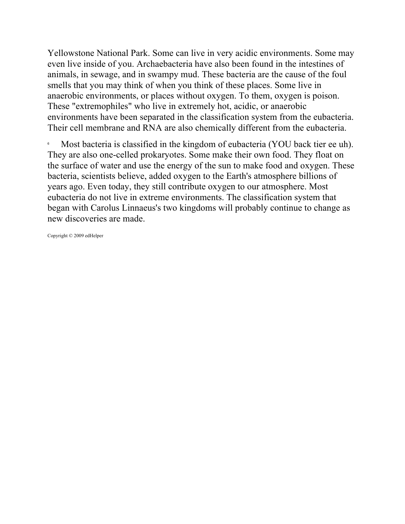Yellowstone National Park. Some can live in very acidic environments. Some may even live inside of you. Archaebacteria have also been found in the intestines of animals, in sewage, and in swampy mud. These bacteria are the cause of the foul smells that you may think of when you think of these places. Some live in anaerobic environments, or places without oxygen. To them, oxygen is poison. These "extremophiles" who live in extremely hot, acidic, or anaerobic environments have been separated in the classification system from the eubacteria. Their cell membrane and RNA are also chemically different from the eubacteria.

6 Most bacteria is classified in the kingdom of eubacteria (YOU back tier ee uh). They are also one-celled prokaryotes. Some make their own food. They float on the surface of water and use the energy of the sun to make food and oxygen. These bacteria, scientists believe, added oxygen to the Earth's atmosphere billions of years ago. Even today, they still contribute oxygen to our atmosphere. Most eubacteria do not live in extreme environments. The classification system that began with Carolus Linnaeus's two kingdoms will probably continue to change as new discoveries are made.

Copyright © 2009 edHelper